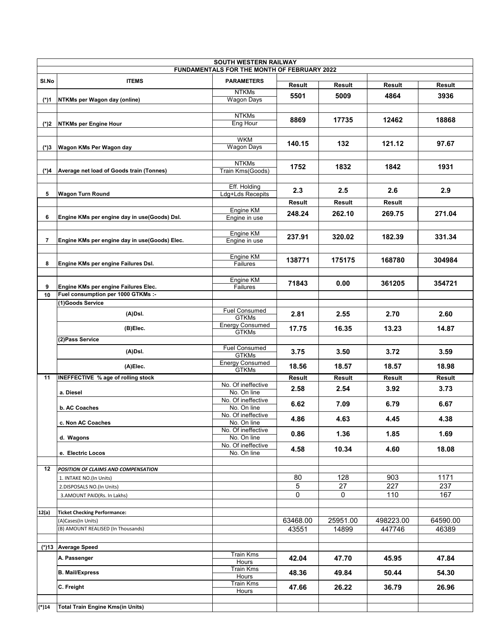| <b>SOUTH WESTERN RAILWAY</b>                |                                                                            |                                        |          |          |            |               |  |  |  |  |
|---------------------------------------------|----------------------------------------------------------------------------|----------------------------------------|----------|----------|------------|---------------|--|--|--|--|
| FUNDAMENTALS FOR THE MONTH OF FEBRUARY 2022 |                                                                            |                                        |          |          |            |               |  |  |  |  |
| SI.No                                       | <b>ITEMS</b>                                                               | <b>PARAMETERS</b>                      | Result   | Result   | Result     | Result        |  |  |  |  |
|                                             |                                                                            | <b>NTKMs</b>                           |          |          |            |               |  |  |  |  |
| (*)1                                        | NTKMs per Wagon day (online)                                               | <b>Wagon Days</b>                      | 5501     | 5009     | 4864       | 3936          |  |  |  |  |
|                                             |                                                                            | <b>NTKMs</b>                           |          |          |            | 18868         |  |  |  |  |
|                                             | (*)2 NTKMs per Engine Hour                                                 | <b>Eng Hour</b>                        | 8869     | 17735    | 12462      |               |  |  |  |  |
|                                             |                                                                            | <b>WKM</b>                             |          |          |            |               |  |  |  |  |
|                                             | (*)3 Wagon KMs Per Wagon day                                               | Wagon Days                             | 140.15   | 132      | 121.12     | 97.67         |  |  |  |  |
|                                             |                                                                            | <b>NTKMs</b>                           |          |          |            |               |  |  |  |  |
|                                             | (*)4   Average net load of Goods train (Tonnes)                            | Train Kms(Goods)                       | 1752     | 1832     | 1842       | 1931          |  |  |  |  |
|                                             |                                                                            |                                        |          |          |            |               |  |  |  |  |
| 5                                           | <b>Wagon Turn Round</b>                                                    | Eff. Holding<br>Ldg+Lds Recepits       | 2.3      | $2.5\,$  | 2.6        | 2.9           |  |  |  |  |
|                                             |                                                                            |                                        | Result   | Result   | Result     |               |  |  |  |  |
|                                             |                                                                            | Engine KM                              | 248.24   | 262.10   | 269.75     | 271.04        |  |  |  |  |
| 6                                           | Engine KMs per engine day in use(Goods) Dsl.                               | Engine in use                          |          |          |            |               |  |  |  |  |
|                                             |                                                                            | Engine KM                              |          |          |            |               |  |  |  |  |
| 7                                           | Engine KMs per engine day in use(Goods) Elec.                              | Engine in use                          | 237.91   | 320.02   | 182.39     | 331.34        |  |  |  |  |
|                                             |                                                                            |                                        |          |          |            |               |  |  |  |  |
| 8                                           | Engine KMs per engine Failures Dsl.                                        | Engine KM<br>Failures                  | 138771   | 175175   | 168780     | 304984        |  |  |  |  |
|                                             |                                                                            |                                        |          |          |            |               |  |  |  |  |
|                                             |                                                                            | Engine KM                              | 71843    | 0.00     | 361205     | 354721        |  |  |  |  |
| 9<br>10                                     | Engine KMs per engine Failures Elec.<br>Fuel consumption per 1000 GTKMs :- | Failures                               |          |          |            |               |  |  |  |  |
|                                             | (1)Goods Service                                                           |                                        |          |          |            |               |  |  |  |  |
|                                             | (A)Dsl.                                                                    | <b>Fuel Consumed</b>                   | 2.81     | 2.55     | 2.70       | 2.60          |  |  |  |  |
|                                             |                                                                            | <b>GTKMs</b><br><b>Energy Consumed</b> |          |          |            |               |  |  |  |  |
|                                             | (B)Elec.                                                                   | <b>GTKMs</b>                           | 17.75    | 16.35    | 13.23      | 14.87         |  |  |  |  |
|                                             | (2)Pass Service                                                            |                                        |          |          |            |               |  |  |  |  |
|                                             | (A)Dsl.                                                                    | <b>Fuel Consumed</b><br><b>GTKMs</b>   | 3.75     | 3.50     | 3.72       | 3.59          |  |  |  |  |
|                                             | (A)Elec.                                                                   | <b>Energy Consumed</b>                 | 18.56    | 18.57    | 18.57      | 18.98         |  |  |  |  |
| 11                                          | INEFFECTIVE % age of rolling stock                                         | <b>GTKMs</b>                           | Result   | Result   | Result     | <b>Result</b> |  |  |  |  |
|                                             |                                                                            | No. Of ineffective                     | 2.58     | 2.54     | 3.92       | 3.73          |  |  |  |  |
|                                             | a. Diesel                                                                  | No. On line<br>No. Of ineffective      |          |          |            |               |  |  |  |  |
|                                             | b. AC Coaches                                                              | No. On line                            | 6.62     | 7.09     | 6.79       | 6.67          |  |  |  |  |
|                                             | c. Non AC Coaches                                                          | No. Of ineffective<br>No. On line      | 4.86     | 4.63     | 4.45       | 4.38          |  |  |  |  |
|                                             |                                                                            | No. Of ineffective                     |          |          |            |               |  |  |  |  |
|                                             | d. Wagons                                                                  | No. On line                            | 0.86     | 1.36     | 1.85       | 1.69          |  |  |  |  |
|                                             | e. Electric Locos                                                          | No. Of ineffective<br>No. On line      | 4.58     | 10.34    | 4.60       | 18.08         |  |  |  |  |
|                                             |                                                                            |                                        |          |          |            |               |  |  |  |  |
| 12                                          | POSITION OF CLAIMS AND COMPENSATION                                        |                                        |          |          |            |               |  |  |  |  |
|                                             | 1. INTAKE NO.(In Units)                                                    |                                        | 80       | 128      | 903        | 1171          |  |  |  |  |
|                                             | 2.DISPOSALS NO.(In Units)                                                  |                                        | 5<br>0   | 27<br>0  | 227<br>110 | 237<br>167    |  |  |  |  |
|                                             | 3.AMOUNT PAID(Rs. In Lakhs)                                                |                                        |          |          |            |               |  |  |  |  |
| 12(a)                                       | <b>Ticket Checking Performance:</b>                                        |                                        |          |          |            |               |  |  |  |  |
|                                             | (A)Cases(In Units)                                                         |                                        | 63468.00 | 25951.00 | 498223.00  | 64590.00      |  |  |  |  |
|                                             | (B) AMOUNT REALISED (In Thousands)                                         |                                        | 43551    | 14899    | 447746     | 46389         |  |  |  |  |
|                                             |                                                                            |                                        |          |          |            |               |  |  |  |  |
|                                             | (*)13 Average Speed                                                        | Train Kms                              |          |          |            |               |  |  |  |  |
|                                             | A. Passenger                                                               | Hours                                  | 42.04    | 47.70    | 45.95      | 47.84         |  |  |  |  |
|                                             | <b>B. Mail/Express</b>                                                     | Train Kms<br>Hours                     | 48.36    | 49.84    | 50.44      | 54.30         |  |  |  |  |
|                                             | C. Freight                                                                 | Train Kms<br>Hours                     | 47.66    | 26.22    | 36.79      | 26.96         |  |  |  |  |
|                                             |                                                                            |                                        |          |          |            |               |  |  |  |  |
| (*)14                                       | Total Train Engine Kms(in Units)                                           |                                        |          |          |            |               |  |  |  |  |